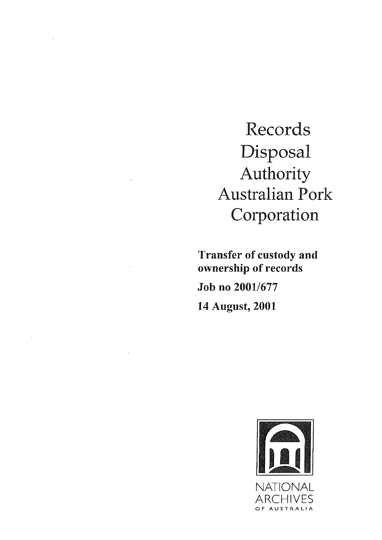Records Disposal Authority Australian Pork Corporation

 $\frac{1}{\frac{1}{\sqrt{2}}}$ 

a J

 $\sim$ 

 $\sim$ 

Transfer of custody and ownership of records Job no 2001/677 14 August, 2001

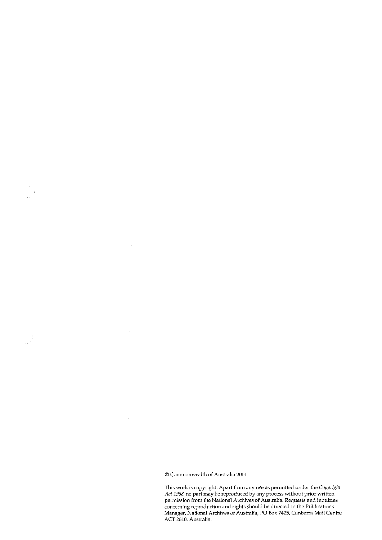© Commonwealth of Australia 2001

 $\bar{\gamma}$  $\bar{z}$ 

 $\omega^{\dagger}$ 

 $\hat{\mathcal{A}}$ 

 $\hat{\mathcal{A}}$ 

 $\mathcal{A}^{\mathcal{A}}$ 

 $\mathcal{A}$ 

This work is copyright. Apart from any use as permitted under the *Copyright* Act 1968, no part may be reproduced by any process without prior written permission from the National Archives of Australia. Requests and inquiries concerning reproduction and rights should be directed to the Publications Manager, National Archives of Australia, PO Box 7425, Canberra Mail Centre ACf 2610, Australia.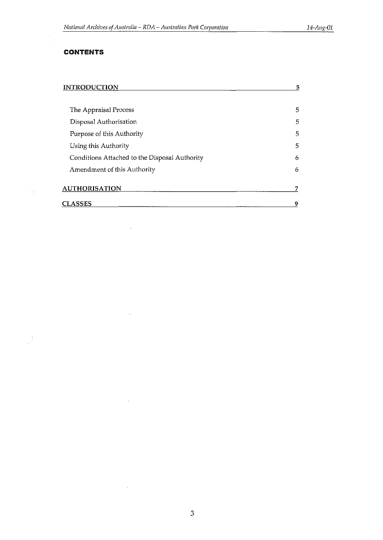$\bar{\mathcal{A}}$ 

 $\mathcal{L}^{\pm}$ 

 $\sim$  .

 $\sim 10^{-10}$ 

### **CONTENTS**

 $\pm$ 

 $\label{eq:2} \begin{aligned} \mathcal{L}_{\text{max}}(\mathbf{r}) = \mathbb{E}[\mathbf{r}^{\text{max}}_{\text{max}}(\mathbf{r})] \mathbf{r}^{\text{max}}_{\text{max}}(\mathbf{r})], \end{aligned}$ 

 $\begin{array}{c} \begin{array}{c} \begin{array}{c} \end{array} \\ \begin{array}{c} \end{array} \end{array} \end{array}$ 

| <b>INTRODUCTION</b>                           | 5 |
|-----------------------------------------------|---|
|                                               |   |
| The Appraisal Process                         | 5 |
| Disposal Authorisation                        | 5 |
| Purpose of this Authority                     | 5 |
| Using this Authority                          | 5 |
| Conditions Attached to the Disposal Authority | 6 |
| Amendment of this Authority                   | 6 |
| <b>AUTHORISATION</b>                          | 7 |
| <b>CLASSES</b>                                | 9 |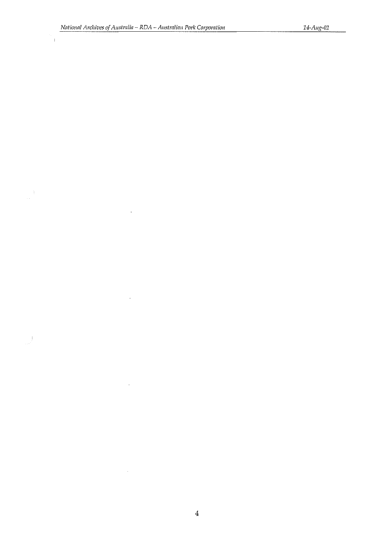$\bar{z}$ 

 $\bar{\mathcal{A}}$ 

 $\sim$ 

 $\mathcal{A}^{\mathcal{A}}$ 

 $\bar{1}$ 

 $\frac{1}{\sqrt{2}}\int_{0}^{\sqrt{2}}\frac{1}{\sqrt{2}}\left( \frac{1}{2}\right) ^{2}d\mu$ 

 $\mathbb{R}^{\frac{1}{2}}$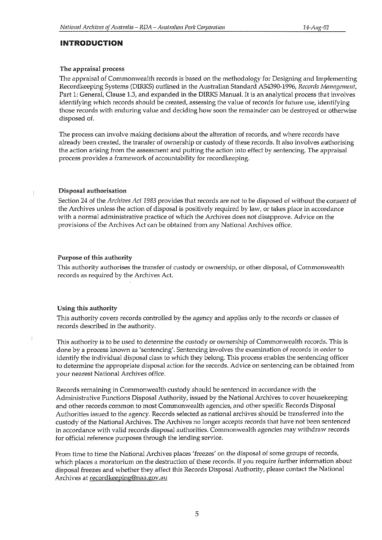### **INTRODUCTION**

#### **The** appraisal process

The appraisal of Commonwealth records is based on the methodology for Designing and Implementing Recordkeeping Systems (DIRKS) outlined in the Australian Standard AS4390-1996, *Records Management,*  Part 1: General, Clause 1.3, and expanded in the DIRKS Manual. It is an analytical process that involves identifying which records should be created, assessing the value of records for future use, identifying those records with enduring value and deciding how soon the remainder can be destroyed or otherwise disposed of.

TIle process can involve making decisions about the alteration of records, and where records have already been created, the transfer of ownership or custody of these records. It also involves authorising the action arising from the assessment and putting the action into effect by sentencing. The appraisal process provides a framework of accountability for recordkeeping.

### Disposal authorisation

Section 24 of the *Archives Act 1983* provides that records are not to be disposed of without the consent of the Archives unless the action of disposal is positively required by law, or takes place in accordance with a normal administrative practice of which the Archives does not disapprove. Advice on the provisions of the Archives Act can be obtained from any National Archives office.

### Purpose of this authority

This authority authorises the transfer of custody or ownership, or other disposal, of Commonwealth records as required by the Archives Act.

#### Using this authority

This authority covers records controlled by the agency and applies only to the records or classes of records described in the authority.

This authority is to be used to determine the custody or ownership of Commonwealth records. This is **done by a process known as 'sentencing'. Sentencing involves the examination of records in order to**  identify the individual disposal class to which they belong. This process enables the sentencing officer to determine the appropriate disposal action for the records. Ad vice on sentencing can be obtained from your nearest National Archives office.

Records remaining in Commonwealth custody should be sentenced in accordance with the· Administrative Functions Disposal Authority, issued by the National Archives to cover housekeeping and other records common to most Commonwealth agencies, and other specific Records Disposal Authorities issued to the agency. Records selected as national archives should be transferred into the custody of the National Archives. The Archives no longer accepts records that have not been sentenced in accordance with valid records disposal authorities. Commonwealth agencies may withdraw records for official reference purposes through the lending service.

From time to time the National Archives places 'freezes' on the disposal of some groups of records, which places a moratorium on the destruction of these records. If you require further information about disposal freezes and whether they affect this Records Disposal Authority, please contact the National Archives at recordkeeping@naa.gov.au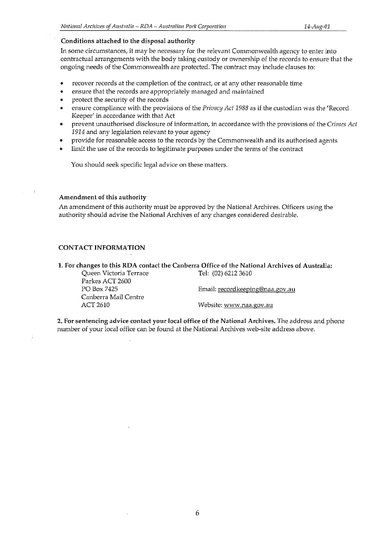### Conditions attached to the disposal authority

In some circumstances, it may be necessary for the relevant Commonwealth agency to enter into contractual arrangements with the body taking custody or ownership of the records to ensure that the ongoing needs of the Commonwealth are protected. The contract may include clauses to:

- recover records at the completion of the contract, or at any other reasonable time
- ensure that the records are appropriately managed and maintained
- protect the security of the records
- ensure compliance with the provisions of the *Privacy Act* 1988 as if the custodian was the 'Record Keeper' in accordance with that Act
- prevent unauthorised disclosure of information, in accordance with the provisions of the *Crimes Act*  1914 and any legislation relevant to your agency
- provide for reasonable access to the records by the Commonwealth and its authorised agents
- limit the use of the records to legitimate purposes under the terms of the contract

You should seek specific legal advice on these matters.

### Amendment of this authority

An amendment of this authority must be approved by the National Archives. Officers using the authority should advise the National Archives of any changes considered desirable.

### CONTACT INFORMATION

### 1. For changes to this RDA contact the Canberra Office of the National Archives of Australia: Queen Victoria Terrace Tel: (02) 6212 3610

Parkes ACT 2600<br>PO Box 7425 Canberra Mail Centre

Email: recordkeeping@naa.gov.au

ACT 2610 Website: www.naa.gov.au

2. For sentencing advice contact your local office of the National Archives. The address and phone number of your local office can be found at the National Archives web-site address above.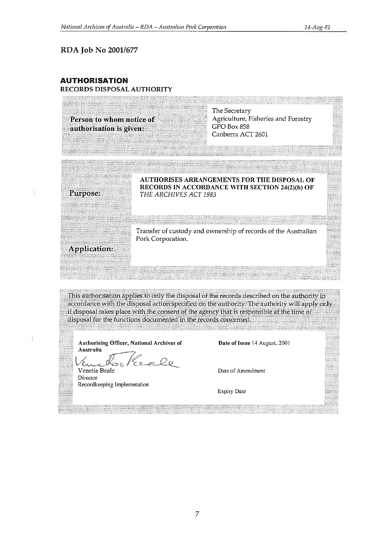a manakatif da manasaran sa

### **RDA Job No 2001/677**

### **AUTHORISATION**

**MARK COMMONSTRATE** 

**RECORDS DISPOSAL AUTHORITY** 

| Person to whom notice of<br>authorisation is given:                                                                                                                                                                                                                                                                                                          |                                                                                                                               | The Secretary<br>Agriculture, Fisheries and Forestry<br>GPO Box 858<br>Canberra ACT 2601 |  |
|--------------------------------------------------------------------------------------------------------------------------------------------------------------------------------------------------------------------------------------------------------------------------------------------------------------------------------------------------------------|-------------------------------------------------------------------------------------------------------------------------------|------------------------------------------------------------------------------------------|--|
| <b>Rurposes</b>                                                                                                                                                                                                                                                                                                                                              | <b>AUTHORISES ARRANGEMENTS FOR THE DISPOSAL OF</b><br>RECORDS IN ACCORDANCE WITH SECTION 24(2)(b) OF<br>THE ARCHIVES ACT 1983 |                                                                                          |  |
| Application:                                                                                                                                                                                                                                                                                                                                                 | Pork Corporation.                                                                                                             | Transfer of custody and ownership of records of the Australian                           |  |
| This authorisation applies to only the disposal of the records described on the authority in<br>accordance with the disposal action specified on the authority. The authority will apply only<br>if disposal takes place with the consent of the agency that is responsible at the time of<br>disposal for the functions documented in the records concerned |                                                                                                                               |                                                                                          |  |

e de la componentación de la componentación

Authorising Officer, National Archives of Australia

æle Venetia Beale

Director Recordkeeping Implemetation

 $\mathbb{Z}^d$ 

Date of Issue 14 August, 2001

Date of Amendment

**Expiry Date**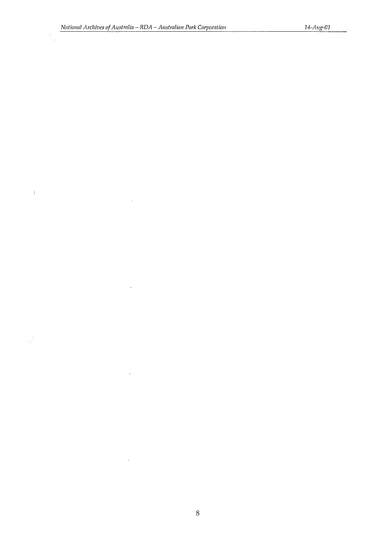$\ddot{\phantom{0}}$ 

 $\hat{\mathcal{A}}$ 

 $\ddot{\phantom{a}}$ 

# $\tau_{\rm{max}}$

 $\frac{1}{2}$ 

- 
- - $\bar{\mathcal{A}}$ 
		-
- 8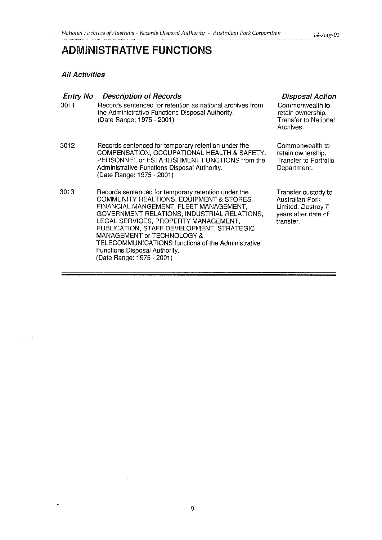## ADMINISTRATIVE **FUNCTIONS**

### **All Activities**

 $\sim 10^4$ 

#### Entry No **Description of Records**

- 3011 Records sentenced for retention as national archives from the Administrative Functions Disposai Authority. (Date Range: 1975 - 2001)
- 3012 Records sentenced for temporary retention under the COMPENSATION, OCCUPATIONAL HEALTH & SAFETY, PERSONNEL or ESTABLISHMENT FUNCTIONS from the Administrative Functions Disposai Authority. (Date Range: 1975 - 2001)
- 3013 Records sentenced for temporary retention under the COMMUNITY REALTIONS, EQUIPMENT & STORES, FiNANCIAL MANGEMENT, FLEET MANAGEMENT, GOVERNMENT RELATIONS, INDUSTRIAL RELATIONS, LEGAL SERVICES, PROPERTY MANAGEMENT, PUBLICATION, STAFF DEVELOPMENT, STRATEGiC MANAGEMENT or TECHNOLOGY & TELECOMMUNICATIONS functions of the Administrative Functions Disposai Authority. (Date Range: 1975 - 2001)

### **Disposal Action**

Commonweaith to retain ownership. Transfer to National Archives.

Commonwealth to retain ownership. Transfer to Portfo lio Department.

Transfer custody to Australian Pork Limited. Destroy 7 years after date of transfer.